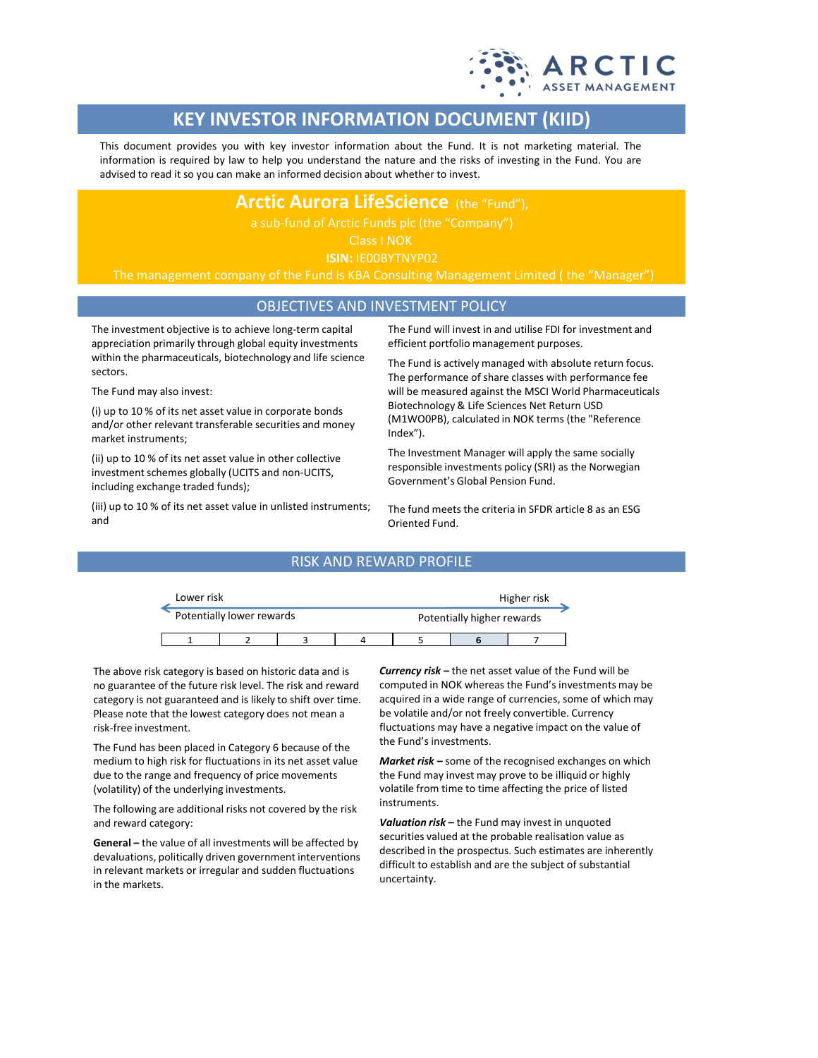

# **KEY INVESTOR INFORMATION DOCUMENT (KIID)**

This document provides you with key investor information about the Fund. It is not marketing material. The information is required by law to help you understand the nature and the risks of investing in the Fund. You are advised to read it so you can make an informed decision about whether to invest.

## **Arctic Aurora LifeScience** (the "Fund"),

Class I NOK

**ISIN:** IE00BYTNYP02

The management company of the Fund is KBA Consulting Management Limited ( the "Manager")

## OBJECTIVES AND INVESTMENT POLICY

The investment objective is to achieve long-term capital appreciation primarily through global equity investments within the pharmaceuticals, biotechnology and life science sectors.

The Fund may also invest:

(i) up to 10 % of its net asset value in corporate bonds and/or other relevant transferable securities and money market instruments;

(ii) up to 10 % of its net asset value in other collective investment schemes globally (UCITS and non-UCITS, including exchange traded funds);

(iii) up to 10 % of its net asset value in unlisted instruments; and

The Fund will invest in and utilise FDI for investment and efficient portfolio management purposes.

The Fund is actively managed with absolute return focus. The performance of share classes with performance fee will be measured against the MSCI World Pharmaceuticals Biotechnology & Life Sciences Net Return USD (M1WO0PB), calculated in NOK terms (the "Reference Index").

The Investment Manager will apply the same socially responsible investments policy (SRI) as the Norwegian Government's Global Pension Fund.

The fund meets the criteria in SFDR article 8 as an ESG Oriented Fund.

### RISK AND REWARD PROFILE

| Lower risk |                           |  | Higher risk |                            |  |  |  |
|------------|---------------------------|--|-------------|----------------------------|--|--|--|
|            | Potentially lower rewards |  |             | Potentially higher rewards |  |  |  |
|            |                           |  |             |                            |  |  |  |

The above risk category is based on historic data and is no guarantee of the future risk level. The risk and reward category is not guaranteed and is likely to shift over time. Please note that the lowest category does not mean a risk-free investment.

The Fund has been placed in Category 6 because of the medium to high risk for fluctuations in its net asset value due to the range and frequency of price movements (volatility) of the underlying investments.

The following are additional risks not covered by the risk and reward category:

**General –** the value of all investments will be affected by devaluations, politically driven government interventions in relevant markets or irregular and sudden fluctuations in the markets.

*Currency risk –* the net asset value of the Fund will be computed in NOK whereas the Fund's investments may be acquired in a wide range of currencies, some of which may be volatile and/or not freely convertible. Currency fluctuations may have a negative impact on the value of the Fund's investments.

*Market risk –* some of the recognised exchanges on which the Fund may invest may prove to be illiquid or highly volatile from time to time affecting the price of listed instruments.

*Valuation risk –* the Fund may invest in unquoted securities valued at the probable realisation value as described in the prospectus. Such estimates are inherently difficult to establish and are the subject of substantial uncertainty.